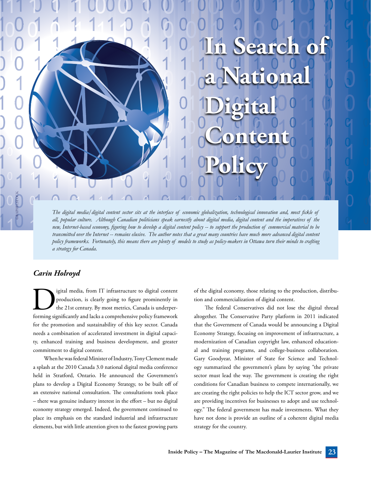*The digital media/digital content sector sits at the interface of economic globalization, technological innovation and, most fickle of all, popular culture. Although Canadian politicians speak earnestly about digital media, digital content and the imperatives of the new, Internet-based economy, figuring how to develop a digital content policy -- to support the production of commercial material to be transmitted over the Internet -- remains elusive. The author notes that a great many countries have much more advanced digital content policy frameworks. Fortunately, this means there are plenty of models to study as policy-makers in Ottawa turn their minds to crafting a strategy for Canada.*

## *Carin Holroyd*

GRAPHICSTOCK

production, is clearly going to figure prominently in the 21st century. By most metrics, Canada is underper-<br>forming significantly and lacks a comprehensive policy framework production, is clearly going to figure prominently in the 21st century. By most metrics, Canada is underperforming significantly and lacks a comprehensive policy framework for the promotion and sustainability of this key sector. Canada needs a combination of accelerated investment in digital capacity, enhanced training and business development, and greater commitment to digital content.

When he was federal Minister of Industry, Tony Clement made a splash at the 2010 Canada 3.0 national digital media conference held in Stratford, Ontario. He announced the Government's plans to develop a Digital Economy Strategy, to be built off of an extensive national consultation. The consultations took place – there was genuine industry interest in the effort – but no digital economy strategy emerged. Indeed, the government continued to place its emphasis on the standard industrial and infrastructure elements, but with little attention given to the fastest growing parts of the digital economy, those relating to the production, distribution and commercialization of digital content.

**Search of** 

**a National** 

**Content** 

**Digital** 

**Policy**

The federal Conservatives did not lose the digital thread altogether. The Conservative Party platform in 2011 indicated that the Government of Canada would be announcing a Digital Economy Strategy, focusing on improvement of infrastructure, a modernization of Canadian copyright law, enhanced educational and training programs, and college-business collaboration. Gary Goodyear, Minister of State for Science and Technology summarized the government's plans by saying "the private sector must lead the way. The government is creating the right conditions for Canadian business to compete internationally, we are creating the right policies to help the ICT sector grow, and we are providing incentives for businesses to adopt and use technology." The federal government has made investments. What they have not done is provide an outline of a coherent digital media strategy for the country.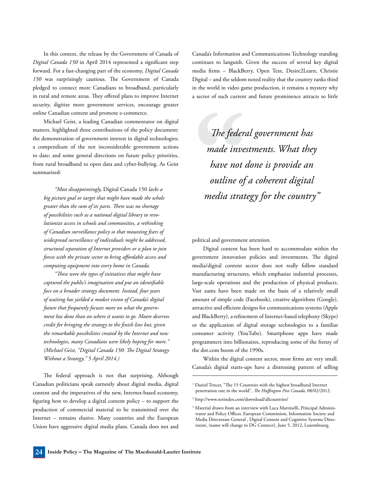In this context, the release by the Government of Canada of *Digital Canada 150* in April 2014 represented a significant step forward. For a fast-changing part of the economy, *Digital Canada 150* was surprisingly cautious. The Government of Canada pledged to connect more Canadians to broadband, particularly in rural and remote areas. They offered plans to improve Internet security, digitize more government services, encourage greater online Canadian content and promote e-commerce.

Michael Geist, a leading Canadian commentator on digital matters, highlighted three contributions of the policy document: the demonstration of government interest in digital technologies; a compendium of the not inconsiderable government actions to date; and some general directions on future policy priorities, from rural broadband to open data and cyber-bullying. As Geist summarized:

*"Most disappointingly,* Digital Canada 150 *lacks a big picture goal or target that might have made the whole greater than the sum of its parts. There was no shortage of possibilities such as a national digital library to revolutionize access in schools and communities, a rethinking of Canadian surveillance policy so that mounting fears of widespread surveillance of individuals might be addressed, structural separation of Internet providers or a plan to join forces with the private sector to bring affordable access and computing equipment into every home in Canada.* 

*"These were the types of initiatives that might have captured the public's imagination and put an identifiable face on a broader strategy document. Instead, four years of waiting has yielded a modest vision of Canada's digital future that frequently focuses more on what the government has done than on where it wants to go. Moore deserves credit for bringing the strategy to the finish line but, given the remarkable possibilities created by the Internet and new technologies, many Canadians were likely hoping for more." (Michael Geist, "Digital Canada 150: The Digital Strategy Without a Strategy," 5 April 2014.)*

The federal approach is not that surprising. Although Canadian politicians speak earnestly about digital media, digital content and the imperatives of the new, Internet-based economy, figuring how to develop a digital content policy – to support the production of commercial material to be transmitted over the Internet – remains elusive. Many countries and the European Union have aggressive digital media plans. Canada does not and Canada's Information and Communications Technology standing continues to languish. Given the success of several key digital media firms – BlackBerry, Open Text, Desire2Learn, Christie Digital – and the seldom noted reality that the country ranks third in the world in video game production, it remains a mystery why a sector of such current and future prominence attracts so little

*The federal government has made investments. What they have not done is provide an outline of a coherent digital media strategy for the country"* 

political and government attention.

Digital content has been hard to accommodate within the government innovation policies and investments. The digital media/digital content sector does not really follow standard manufacturing structures, which emphasize industrial processes, large-scale operations and the production of physical products. Vast sums have been made on the basis of a relatively small amount of simple code (Facebook), creative algorithms (Google), attractive and efficient designs for communications systems (Apple and BlackBerry), a refinement of Internet-based telephony (Skype) or the application of digital storage technologies to a familiar consumer activity (YouTube). Smartphone apps have made programmers into billionaires, reproducing some of the frenzy of the dot.com boom of the 1990s.

Within the digital content sector, most firms are very small. Canada's digital starts-ups have a distressing pattern of selling

<sup>&</sup>lt;sup>1</sup> Daniel Tencer, "The 15 Countries with the highest broadband Internet penetration rate in the world", *The Huffington Post Canada*, 08/02/2012.

<sup>2</sup> http://www.netindex.com/download/allcountries/

<sup>&</sup>lt;sup>3</sup> Material drawn from an interview with Luca Martinelli, Principal Administrator and Policy Officer, European Commission, Information Society and Media Directorate General , Digital Content and Cognitive Systems Directorate, (name will change to DG Connect), June 5, 2012, Luxembourg.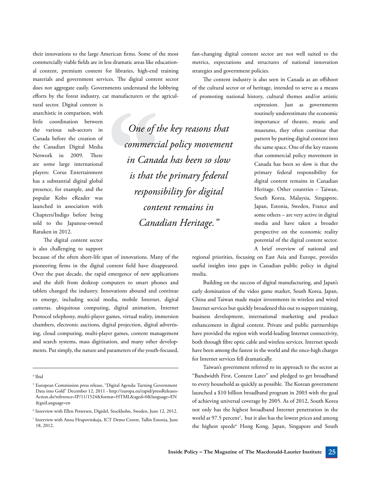their innovations to the large American firms. Some of the most commercially viable fields are in less dramatic areas like educational content, premium content for libraries, high-end training materials and government services. The digital content sector does not aggregate easily. Governments understand the lobbying efforts by the forest industry, car manufacturers or the agricul-

tural sector. Digital content is anarchistic in comparison, with little coordination between the various sub-sectors in Canada before the creation of the Canadian Digital Media Network in 2009. There are some large international players: Corus Entertainment has a substantial digital global presence, for example, and the popular Kobo eReader was launched in association with Chapters/Indigo before being sold to the Japanese-owned Ratuken in 2012.

The digital content sector is also challenging to support

because of the often short-life span of innovations. Many of the pioneering firms in the digital content field have disappeared. Over the past decade, the rapid emergence of new applications and the shift from desktop computers to smart phones and tablets changed the industry. Innovations abound and continue to emerge, including social media, mobile Internet, digital cameras, ubiquitous computing, digital animation, Internet Protocol telephony, multi-player games, virtual reality, immersion chambers, electronic auctions, digital projection, digital advertising, cloud computing, multi-player games, content management and search systems, mass digitization, and many other developments. Put simply, the nature and parameters of the youth-focused,

4 Ibid

*One of the key reasons that commercial policy movement in Canada has been so slow is that the primary federal responsibility for digital content remains in Canadian Heritage."* 

fast-changing digital content sector are not well suited to the metrics, expectations and structures of national innovation strategies and government policies.

The content industry is also seen in Canada as an offshoot of the cultural sector or of heritage, intended to serve as a means of promoting national history, cultural themes and/or artistic

> expression. Just as governments routinely underestimate the economic importance of theatre, music and museums, they often continue that pattern by putting digital content into the same space. One of the key reasons that commercial policy movement in Canada has been so slow is that the primary federal responsibility for digital content remains in Canadian Heritage. Other countries – Taiwan, South Korea, Malaysia, Singapore, Japan, Estonia, Sweden, France and some others – are very active in digital media and have taken a broader perspective on the economic reality potential of the digital content sector. A brief overview of national and

regional priorities, focusing on East Asia and Europe, provides useful insights into gaps in Canadian public policy in digital media.

Building on the success of digital manufacturing, and Japan's early domination of the video game market, South Korea, Japan, China and Taiwan made major investments in wireless and wired Internet services but quickly broadened this out to support training, business development, international marketing and product enhancement in digital content. Private and public partnerships have provided the region with world-leading Internet connectivity, both through fibre optic cable and wireless services. Internet speeds have been among the fastest in the world and the once-high charges for Internet services fell dramatically.

Taiwan's government referred to its approach to the sector as "Bandwidth First, Content Later" and pledged to get broadband to every household as quickly as possible. The Korean government launched a \$10 billion broadband program in 2003 with the goal of achieving universal coverage by 2005. As of 2012, South Korea not only has the highest broadband Internet penetration in the world at 97.5 percent<sup>1</sup>, but it also has the lowest prices and among the highest speeds<sup>w</sup> Hong Kong, Japan, Singapore and South

<sup>5</sup> European Commission press release, "Digital Agenda: Turning Government Data into Gold" December 12, 2011 - http://europa.eu/rapid/pressReleases-Action.do?reference=IP/11/1524&format=HTML&aged=0&language=EN &guiLanguage=en

<sup>6</sup> Interview with Ellen Pettersen, Digidel, Stockholm, Sweden, June 12, 2012.

<sup>7</sup> Interview with Anna Hrapovitskaja, ICT Demo Centre, Tallin Estonia, June 18, 2012.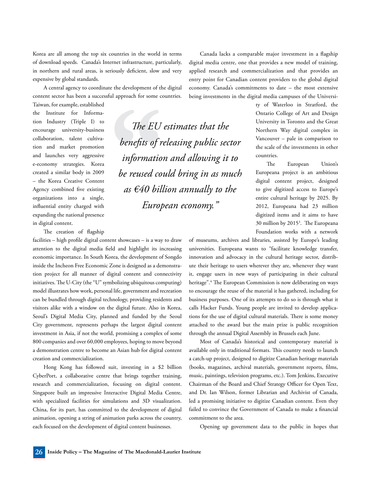Korea are all among the top six countries in the world in terms of download speeds. Canada's Internet infrastructure, particularly, in northern and rural areas, is seriously deficient, slow and very expensive by global standards.

A central agency to coordinate the development of the digital content sector has been a successful approach for some countries.

*The EU estimates that the* 

*benefits of releasing public sector* 

*information and allowing it to* 

*be reused could bring in as much* 

*as €40 billion annually to the* 

*European economy."* 

Taiwan, for example, established the Institute for Information Industry (Triple I) to encourage university-business collaboration, talent cultivation and market promotion and launches very aggressive e-economy strategies. Korea created a similar body in 2009 – the Korea Creative Content Agency combined five existing organizations into a single, influential entity charged with expanding the national presence in digital content.

The creation of flagship

facilities – high profile digital content showcases – is a way to draw attention to the digital media field and highlight its increasing economic importance. In South Korea, the development of Songdo inside the Incheon Free Economic Zone is designed as a demonstration project for all manner of digital content and connectivity initiatives. The U-City (the "U" symbolizing ubiquitous computing) model illustrates how work, personal life, government and recreation can be bundled through digital technology, providing residents and visitors alike with a window on the digital future. Also in Korea, Seoul's Digital Media City, planned and funded by the Seoul City government, represents perhaps the largest digital content investment in Asia, if not the world, promising a complex of some 800 companies and over 60,000 employees, hoping to move beyond a demonstration centre to become an Asian hub for digital content creation and commercialization.

Hong Kong has followed suit, investing in a \$2 billion CyberPort, a collaborative centre that brings together training, research and commercialization, focusing on digital content. Singapore built an impressive Interactive Digital Media Centre, with specialized facilities for simulations and 3D visualization. China, for its part, has committed to the development of digital animation, opening a string of animation parks across the country, each focused on the development of digital content businesses.

Canada lacks a comparable major investment in a flagship digital media centre, one that provides a new model of training, applied research and commercialization and that provides an entry point for Canadian content providers to the global digital economy. Canada's commitments to date – the most extensive being investments in the digital media campuses of the Universi-

> ty of Waterloo in Stratford, the Ontario College of Art and Design University in Toronto and the Great Northern Way digital complex in Vancouver – pale in comparison to the scale of the investments in other countries.

> The European Union's Europeana project is an ambitious digital content project, designed to give digitized access to Europe's entire cultural heritage by 2025. By 2012, Europeana had 23 million digitized items and it aims to have 30 million by 20153 . The Europeana Foundation works with a network

of museums, archives and libraries, assisted by Europe's leading universities. Europeana wants to "facilitate knowledge transfer, innovation and advocacy in the cultural heritage sector, distribute their heritage to users wherever they are, whenever they want it, engage users in new ways of participating in their cultural heritage".4 The European Commission is now deliberating on ways to encourage the reuse of the material it has gathered, including for business purposes. One of its attempts to do so is through what it calls Hacker Funds. Young people are invited to develop applications for the use of digital cultural materials. There is some money attached to the award but the main prize is public recognition through the annual Digital Assembly in Brussels each June.

Most of Canada's historical and contemporary material is available only in traditional formats. This country needs to launch a catch-up project, designed to digitize Canadian heritage materials (books, magazines, archival materials, government reports, films, music, paintings, television programs, etc.). Tom Jenkins, Executive Chairman of the Board and Chief Strategy Officer for Open Text, and Dr. Ian Wilson, former Librarian and Archivist of Canada, led a promising initiative to digitize Canadian content. Even they failed to convince the Government of Canada to make a financial commitment to the area.

Opening up government data to the public in hopes that